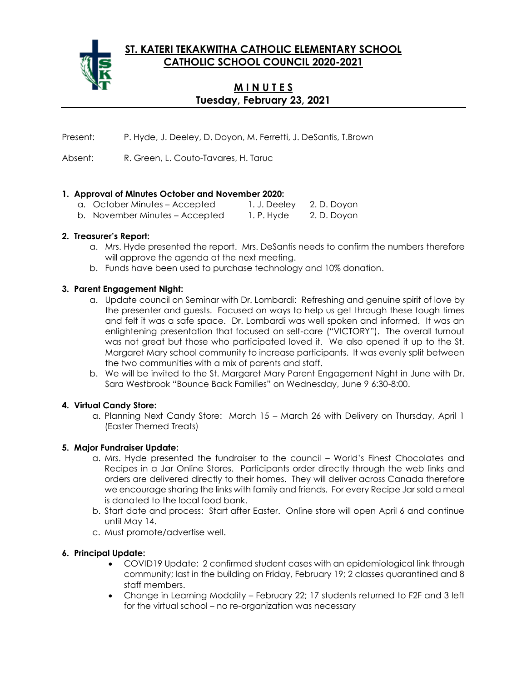**ST. KATERI TEKAKWITHA CATHOLIC ELEMENTARY SCHOOL CATHOLIC SCHOOL COUNCIL 2020-2021**



# **M I N U T E S Tuesday, February 23, 2021**

Present: P. Hyde, J. Deeley, D. Doyon, M. Ferretti, J. DeSantis, T.Brown

Absent: R. Green, L. Couto-Tavares, H. Taruc

## **1. Approval of Minutes October and November 2020:**

a. October Minutes – Accepted 1. J. Deeley 2. D. Doyon b. November Minutes – Accepted 1. P. Hyde 2. D. Doyon

### **2. Treasurer's Report:**

- a. Mrs. Hyde presented the report. Mrs. DeSantis needs to confirm the numbers therefore will approve the agenda at the next meeting.
- b. Funds have been used to purchase technology and 10% donation.

## **3. Parent Engagement Night:**

- a. Update council on Seminar with Dr. Lombardi: Refreshing and genuine spirit of love by the presenter and guests. Focused on ways to help us get through these tough times and felt it was a safe space. Dr. Lombardi was well spoken and informed. It was an enlightening presentation that focused on self-care ("VICTORY"). The overall turnout was not great but those who participated loved it. We also opened it up to the St. Margaret Mary school community to increase participants. It was evenly split between the two communities with a mix of parents and staff.
- b. We will be invited to the St. Margaret Mary Parent Engagement Night in June with Dr. Sara Westbrook "Bounce Back Families" on Wednesday, June 9 6:30-8:00.

### **4. Virtual Candy Store:**

a. Planning Next Candy Store: March 15 – March 26 with Delivery on Thursday, April 1 (Easter Themed Treats)

### **5. Major Fundraiser Update:**

- a. Mrs. Hyde presented the fundraiser to the council World's Finest Chocolates and Recipes in a Jar Online Stores. Participants order directly through the web links and orders are delivered directly to their homes. They will deliver across Canada therefore we encourage sharing the links with family and friends. For every Recipe Jar sold a meal is donated to the local food bank.
- b. Start date and process: Start after Easter. Online store will open April 6 and continue until May 14.
- c. Must promote/advertise well.

### **6. Principal Update:**

- COVID19 Update: 2 confirmed student cases with an epidemiological link through community; last in the building on Friday, February 19; 2 classes quarantined and 8 staff members.
- Change in Learning Modality February 22; 17 students returned to F2F and 3 left for the virtual school – no re-organization was necessary